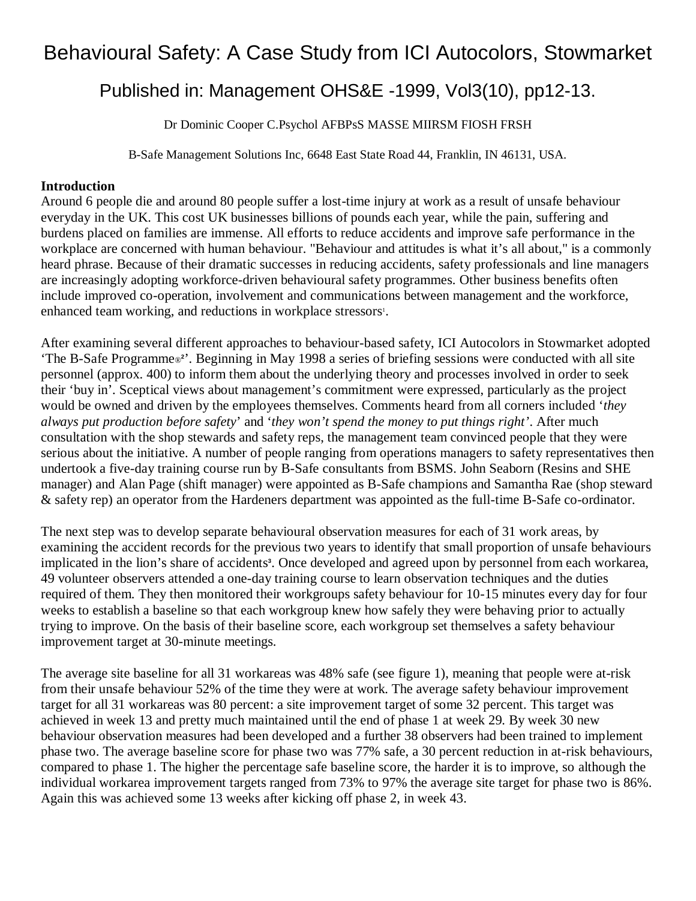## Behavioural Safety: A Case Study from ICI Autocolors, Stowmarket

## Published in: Management OHS&E -1999, Vol3(10), pp12-13.

Dr Dominic Cooper C.Psychol AFBPsS MASSE MIIRSM FIOSH FRSH

B-Safe Management Solutions Inc, 6648 East State Road 44, Franklin, IN 46131, USA.

## **Introduction**

Around 6 people die and around 80 people suffer a lost-time injury at work as a result of unsafe behaviour everyday in the UK. This cost UK businesses billions of pounds each year, while the pain, suffering and burdens placed on families are immense. All efforts to reduce accidents and improve safe performance in the workplace are concerned with human behaviour. "Behaviour and attitudes is what it's all about," is a commonly heard phrase. Because of their dramatic successes in reducing accidents, safety professionals and line managers are increasingly adopting workforce-driven behavioural safety programmes. Other business benefits often include improved co-operation, involvement and communications between management and the workforce, enhanced team working, and reductions in workplace stressors<sup>1</sup>.

After examining several different approaches to behaviour-based safety, ICI Autocolors in Stowmarket adopted 'The B-Safe Programme® **2** '. Beginning in May 1998 a series of briefing sessions were conducted with all site personnel (approx. 400) to inform them about the underlying theory and processes involved in order to seek their 'buy in'. Sceptical views about management's commitment were expressed, particularly as the project would be owned and driven by the employees themselves. Comments heard from all corners included '*they always put production before safety*' and '*they won't spend the money to put things right'*. After much consultation with the shop stewards and safety reps, the management team convinced people that they were serious about the initiative. A number of people ranging from operations managers to safety representatives then undertook a five-day training course run by B-Safe consultants from BSMS. John Seaborn (Resins and SHE manager) and Alan Page (shift manager) were appointed as B-Safe champions and Samantha Rae (shop steward & safety rep) an operator from the Hardeners department was appointed as the full-time B-Safe co-ordinator.

The next step was to develop separate behavioural observation measures for each of 31 work areas, by examining the accident records for the previous two years to identify that small proportion of unsafe behaviours implicated in the lion's share of accidents**<sup>3</sup>** . Once developed and agreed upon by personnel from each workarea, 49 volunteer observers attended a one-day training course to learn observation techniques and the duties required of them. They then monitored their workgroups safety behaviour for 10-15 minutes every day for four weeks to establish a baseline so that each workgroup knew how safely they were behaving prior to actually trying to improve. On the basis of their baseline score, each workgroup set themselves a safety behaviour improvement target at 30-minute meetings.

The average site baseline for all 31 workareas was 48% safe (see figure 1), meaning that people were at-risk from their unsafe behaviour 52% of the time they were at work. The average safety behaviour improvement target for all 31 workareas was 80 percent: a site improvement target of some 32 percent. This target was achieved in week 13 and pretty much maintained until the end of phase 1 at week 29. By week 30 new behaviour observation measures had been developed and a further 38 observers had been trained to implement phase two. The average baseline score for phase two was 77% safe, a 30 percent reduction in at-risk behaviours, compared to phase 1. The higher the percentage safe baseline score, the harder it is to improve, so although the individual workarea improvement targets ranged from 73% to 97% the average site target for phase two is 86%. Again this was achieved some 13 weeks after kicking off phase 2, in week 43.